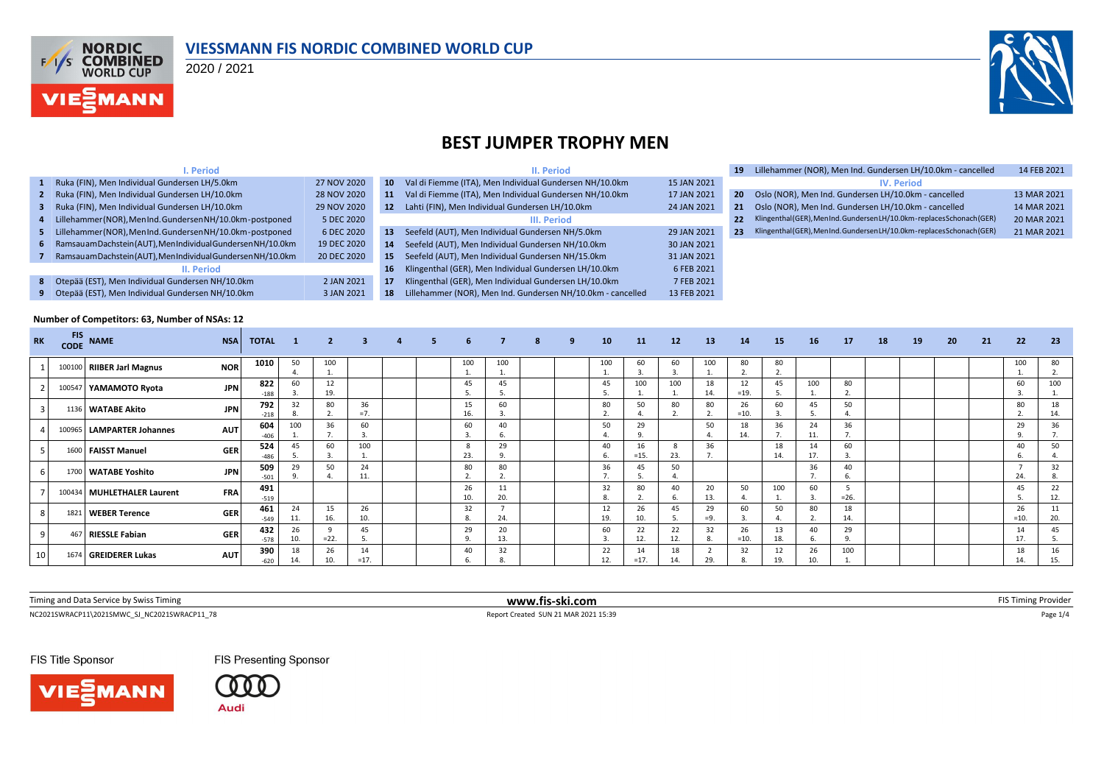

#### **VIESSMANN FIS NORDIC COMBINED WORLD CUP**

2020 / 2021



## **BEST JUMPER TROPHY MEN**

|              | I. Period                                                   |             |                 | II. Period                                                  |             | 19 |
|--------------|-------------------------------------------------------------|-------------|-----------------|-------------------------------------------------------------|-------------|----|
| $\mathbf{1}$ | Ruka (FIN), Men Individual Gundersen LH/5.0km               | 27 NOV 2020 | 10 <sup>°</sup> | Val di Fiemme (ITA), Men Individual Gundersen NH/10.0km     | 15 JAN 2021 |    |
| 2            | Ruka (FIN), Men Individual Gundersen LH/10.0km              | 28 NOV 2020 | 11              | Val di Fiemme (ITA), Men Individual Gundersen NH/10.0km     | 17 JAN 2021 | 20 |
| з.           | Ruka (FIN), Men Individual Gundersen LH/10.0km              | 29 NOV 2020 | 12              | Lahti (FIN), Men Individual Gundersen LH/10.0km             | 24 JAN 2021 | 21 |
| 4            | Lillehammer(NOR), MenInd. Gundersen NH/10.0km-postponed     | 5 DEC 2020  |                 | III. Period                                                 |             | 22 |
| 5.           | Lillehammer (NOR), MenInd. Gundersen NH/10.0km-postponed    | 6 DEC 2020  | 13              | Seefeld (AUT), Men Individual Gundersen NH/5.0km            | 29 JAN 2021 | 23 |
| 6            | Ramsauam Dachstein (AUT), MenIndividual Gundersen NH/10.0km | 19 DEC 2020 | 14              | Seefeld (AUT), Men Individual Gundersen NH/10.0km           | 30 JAN 2021 |    |
|              | Ramsauam Dachstein (AUT), MenIndividual Gundersen NH/10.0km | 20 DEC 2020 | 15              | Seefeld (AUT), Men Individual Gundersen NH/15.0km           | 31 JAN 2021 |    |
|              | II. Period                                                  |             | 16              | Klingenthal (GER), Men Individual Gundersen LH/10.0km       | 6 FEB 2021  |    |
| 8            | Otepää (EST), Men Individual Gundersen NH/10.0km            | 2 JAN 2021  | 17              | Klingenthal (GER), Men Individual Gundersen LH/10.0km       | 7 FEB 2021  |    |
| 9            | Otepää (EST), Men Individual Gundersen NH/10.0km            | 3 JAN 2021  | 18              | Lillehammer (NOR), Men Ind. Gundersen NH/10.0km - cancelled | 13 FEB 2021 |    |

| 19 | Lillehammer (NOR), Men Ind. Gundersen LH/10.0km - cancelled           | 14 FEB 2021 |
|----|-----------------------------------------------------------------------|-------------|
|    | <b>IV. Period</b>                                                     |             |
| 20 | Oslo (NOR), Men Ind. Gundersen LH/10.0km - cancelled                  | 13 MAR 2021 |
| 21 | Oslo (NOR), Men Ind. Gundersen LH/10.0km - cancelled                  | 14 MAR 2021 |
| 22 | Klingenthal (GER), MenInd. GundersenLH/10.0km-replaces Schonach (GER) | 20 MAR 2021 |
| 23 | Klingenthal (GER), MenInd. GundersenLH/10.0km-replaces Schonach (GER) | 21 MAR 2021 |
|    |                                                                       |             |
|    |                                                                       |             |

#### **Number of Competitors: 63, Number of NSAs: 12**

| <b>RK</b>       | <b>FIS</b><br><b>CODE</b> | <b>NAME</b>                | <b>NSA</b> | <b>TOTAL</b>  | $\blacksquare$ | $\overline{2}$ | $\mathbf{3}$ | $\overline{a}$ | 5. | 6              |           | 8 | 9 | 10                 | 11           | 12                 | 13          | 14           | 15        | 16                                                         | 17        | 18 | 19 | 20 | 21 | 22               | -23       |
|-----------------|---------------------------|----------------------------|------------|---------------|----------------|----------------|--------------|----------------|----|----------------|-----------|---|---|--------------------|--------------|--------------------|-------------|--------------|-----------|------------------------------------------------------------|-----------|----|----|----|----|------------------|-----------|
|                 |                           | 100100 RIIBER Jarl Magnus  | <b>NOR</b> | 1010          | 50<br>4.       | 100<br>ᆠ       |              |                |    | 100<br>1.      | 100       |   |   | 100                | 60           | 60<br>3.           | 100         | 80<br>2.     | 80        |                                                            |           |    |    |    |    | 100<br><b>L.</b> | 80        |
|                 | 100547                    | YAMAMOTO Ryota             | <b>JPN</b> | 822<br>$-188$ | 60             | 12<br>19.      |              |                |    | 45             | 45        |   |   | 45                 | 100          | 100                | 18<br>14.   | 12<br>$=19.$ | 45        | 100                                                        | 80        |    |    |    |    | 60               | 100       |
|                 |                           | 1136 WATABE Akito          | <b>JPN</b> | 792<br>$-218$ | 32<br>8.       | 80             | 36<br>$=7.$  |                |    | 15<br>16.      | 60        |   |   | 80<br>$\mathbf{r}$ | 50           | 80<br>$\mathbf{a}$ | 80          | 26<br>$=10.$ | 60        | 45<br>5                                                    | 50        |    |    |    |    | 80               | 18<br>14. |
|                 |                           | 100965 LAMPARTER Johannes  | <b>AUT</b> | 604<br>$-406$ | 100            | 36             | 60           |                |    | 60             | 40        |   |   | 50                 | 29           |                    | 50          | 18<br>14.    | 36        | 24<br>11.                                                  | 36        |    |    |    |    | 29               | 36        |
|                 |                           | 1600   FAISST Manuel       | <b>GER</b> | 524<br>$-486$ | 45             | 60             | 100          |                |    | -8<br>23.      | 29<br>q   |   |   | 40                 | $=15.$       | 23.                | 36          |              | 18<br>14. | 14<br>17.                                                  | 60        |    |    |    |    | 40               | 50        |
|                 |                           | 1700 WATABE Yoshito        | <b>JPN</b> | 509<br>$-501$ | 29<br>9        | 50             | 24<br>11.    |                |    | 80             | 80        |   |   | 36                 |              | 50                 |             |              |           | 36<br>$\overline{\phantom{a}}$<br>$\overline{\phantom{a}}$ | 40        |    |    |    |    | 24.              | 32<br>-8. |
|                 |                           | 100434 MUHLETHALER Laurent | <b>FRA</b> | 491<br>$-519$ |                |                |              |                |    | 26<br>10       | 11<br>20. |   |   | 32<br>8.           | 80           | 40                 | 20<br>13.   | 50           | 100       | 60<br>$\mathbf{3}$                                         | $=26.$    |    |    |    |    | 45               | 22<br>12. |
|                 |                           | 1821 WEBER Terence         | <b>GER</b> | 461<br>$-549$ | 24<br>11.      | 15<br>16.      | 26<br>10.    |                |    | 32             | 24.       |   |   | 12<br>19.          | 26<br>10.    | 45                 | 29<br>$=9.$ | 60           | 50        | 80                                                         | 18<br>14. |    |    |    |    | 26<br>$=10.$     | 11<br>20  |
|                 |                           | 467 RIESSLE Fabian         | <b>GER</b> | 432<br>$-578$ | 26<br>10.      | $= 22.$        | 45           |                |    | 29<br>$\Omega$ | 20<br>13. |   |   | 60                 | 22<br>12.    | 22<br>12.          | 32          | 26<br>$=10.$ | 18.       | 40<br>-6.                                                  | 29        |    |    |    |    | 14<br>17.        | 45<br>-5  |
| 10 <sup>1</sup> |                           | 1674 GREIDERER Lukas       | <b>AUT</b> | 390<br>$-620$ | 18<br>14.      | 26<br>10.      | 14<br>$=17.$ |                |    | 40             | 32        |   |   | 22<br>12.          | 14<br>$=17.$ | 18<br>14.          | 29.         | 32           | 12<br>19  | 26<br>10.                                                  | 100       |    |    |    |    | 18<br>14         | 16<br>15. |

| Timing and Data Service<br>hy Swiss Timing | ski.com<br>WWW.fis-Sh |  |
|--------------------------------------------|-----------------------|--|
|                                            |                       |  |

 $\begin{array}{l} \text{Report Create } \textsf{SUM 21} \text{ MAR 20215 } \textsf{S} \textsf{N} \textsf{P} \textsf{1} \textsf{1} \textsf{1} \textsf{1} \textsf{1} \textsf{1} \textsf{1} \textsf{1} \textsf{1} \textsf{1} \textsf{1} \textsf{1} \textsf{1} \textsf{1} \textsf{1} \textsf{1} \textsf{1} \textsf{1} \textsf{1} \textsf{1} \textsf{1} \textsf{1} \textsf{1} \textsf{1} \textsf{1} \textsf{1} \textsf{1} \textsf{1}$ 

FIS Title Sponsor





FIS Presenting Sponsor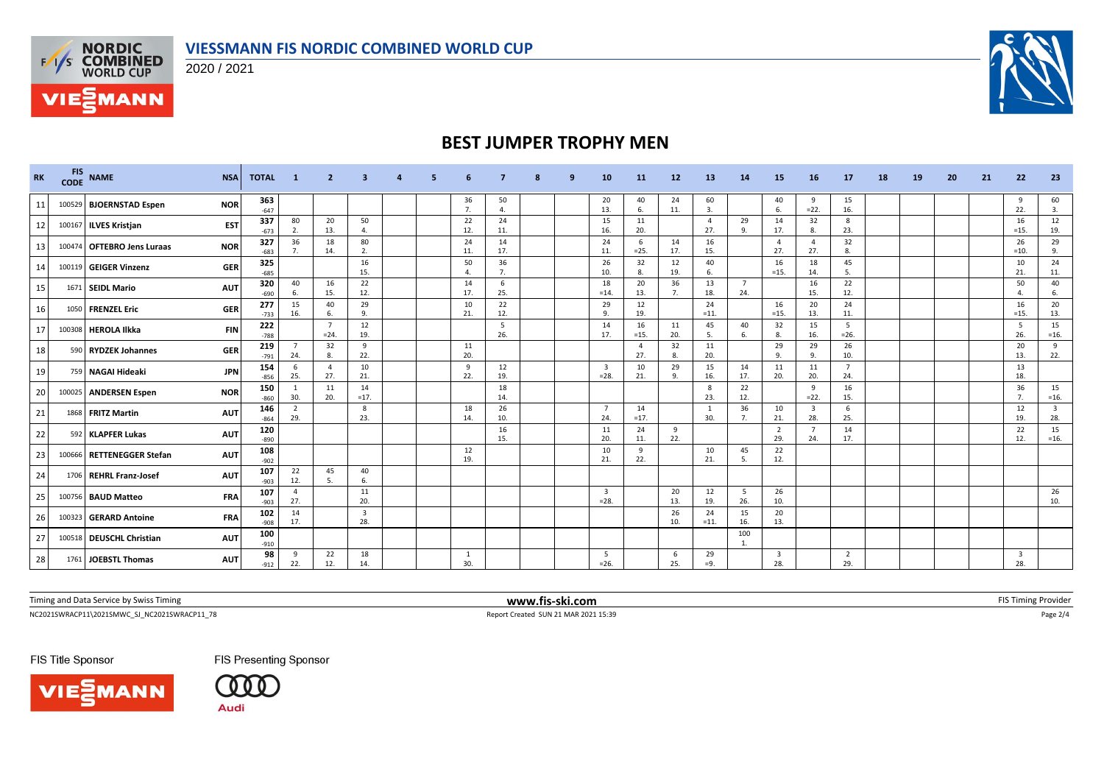



**VIE***MANN* 

2020 / 2021



## **BEST JUMPER TROPHY MEN**

| <b>RK</b> | <b>FIS</b><br><b>CODE</b> | <b>NAME</b>                | <b>NSA</b> | <b>TOTAL</b>  | - 1                   | 2                         |                                |  |                      |                        |  | 10                                | 11                    | 12                   | 13                   | 14                    | <b>15</b>             | <b>16</b>                      | 17                    | 18 | 19 | 20 | 21 | 22                             | 23                             |
|-----------|---------------------------|----------------------------|------------|---------------|-----------------------|---------------------------|--------------------------------|--|----------------------|------------------------|--|-----------------------------------|-----------------------|----------------------|----------------------|-----------------------|-----------------------|--------------------------------|-----------------------|----|----|----|----|--------------------------------|--------------------------------|
| 11        |                           | 100529 BJOERNSTAD Espen    | <b>NOR</b> | 363<br>$-647$ |                       |                           |                                |  | 36<br>7.             | 50<br>$\overline{4}$ . |  | 20<br>13.                         | 40<br>6.              | 24<br>11.            | 60<br>$\overline{3}$ |                       | 40<br>6               | 9<br>$=22.$                    | 15<br>16.             |    |    |    |    | -9<br>22.                      | 60<br>3.                       |
| 12        |                           | 100167 ILVES Kristjan      | <b>EST</b> | 337<br>$-673$ | 80<br>2.              | 20<br>13.                 | 50<br>4.                       |  | 22<br>12.            | 24<br>11.              |  | 15<br>16.                         | 11<br>20.             |                      | $\Delta$<br>27.      | 29<br>9.              | 14<br>17.             | 32<br>8.                       | 8<br>23.              |    |    |    |    | 16<br>$=15.$                   | 12<br>19.                      |
| 13        |                           | 100474 OFTEBRO Jens Luraas | <b>NOR</b> | 327<br>$-683$ | 36                    | 18<br>14.                 | 80<br>2.                       |  | 24<br>11.            | 14<br>17.              |  | 24<br>11.                         | 6<br>$=25.$           | 14<br>17.            | 16<br>15.            |                       | $\overline{4}$<br>27. | $\overline{4}$<br>27.          | 32<br>8.              |    |    |    |    | 26<br>$=10.$                   | 29<br>9.                       |
| 14        |                           | 100119 GEIGER Vinzenz      | <b>GER</b> | 325<br>$-685$ |                       |                           | 16<br>15.                      |  | 50<br>$\overline{a}$ | 36<br>7.               |  | 26<br>10.                         | 32<br>8.              | 12<br>19.            | 40<br>6.             |                       | 16<br>$=15.$          | 18<br>14.                      | 45<br>- 5.            |    |    |    |    | 10<br>21.                      | 24<br>11.                      |
| 15        |                           | 1671 SEIDL Mario           | <b>AUT</b> | 320<br>$-690$ | 40                    | 16<br>15.                 | 22<br>12.                      |  | 14<br>17.            | 6<br>25.               |  | 18<br>$=14.$                      | 20<br>13.             | 36<br>7 <sub>1</sub> | 13<br>18.            | $\overline{7}$<br>24. |                       | 16<br>15.                      | 22<br>12.             |    |    |    |    | 50<br>$\mathbf{4}$             | 40<br>6.                       |
| 16        |                           | 1050 FRENZEL Eric          | <b>GER</b> | 277<br>$-733$ | 15<br>16.             | 40<br>6.                  | 29<br>9.                       |  | 10<br>21.            | 22<br>12.              |  | 29<br>9.                          | 12<br>19.             |                      | 24<br>$=11.$         |                       | 16<br>$=15.$          | 20<br>13.                      | 24<br>11.             |    |    |    |    | 16<br>$=15.$                   | 20<br>13.                      |
| 17        |                           | 100308 HEROLA Ilkka        | <b>FIN</b> | 222<br>$-788$ |                       | $\overline{7}$<br>$= 24.$ | 12<br>19.                      |  |                      | 5<br>26.               |  | 14<br>17.                         | 16<br>$=15.$          | 11<br>20.            | 45<br>.5             | 40<br>6.              | 32<br>-8              | 15<br>16.                      | -5<br>$=26.$          |    |    |    |    | 5<br>26.                       | 15<br>$=16.$                   |
| 18        |                           | 590 RYDZEK Johannes        | <b>GER</b> | 219<br>$-791$ | 24.                   | 32<br>8.                  | 9<br>22.                       |  | 11<br>20.            |                        |  |                                   | $\overline{4}$<br>27. | 32<br>8.             | 11<br>20.            |                       | 29<br>9               | 29<br>9.                       | 26<br>10.             |    |    |    |    | 20<br>13.                      | 9<br>22.                       |
| 19        |                           | 759 NAGAI Hideaki          | <b>JPN</b> | 154<br>$-856$ | 6<br>25.              | -4<br>27.                 | 10<br>21.                      |  | 9<br>22.             | 12<br>19.              |  | $\overline{\mathbf{3}}$<br>$=28.$ | 10<br>21.             | 29<br>9.             | 15<br>16.            | 14<br>17.             | 11<br>20.             | 11<br>20.                      | $\overline{7}$<br>24. |    |    |    |    | 13<br>18.                      |                                |
| 20        |                           | 100025 ANDERSEN Espen      | <b>NOR</b> | 150<br>$-860$ | 30.                   | 11<br>20.                 | 14<br>$=17.$                   |  |                      | 18<br>14.              |  |                                   |                       |                      | 8<br>23.             | 22<br>12.             |                       | 9<br>$=22.$                    | 16<br>15.             |    |    |    |    | 36<br>7.                       | 15<br>$=16.$                   |
| 21        |                           | 1868 FRITZ Martin          | <b>AUT</b> | 146<br>$-864$ | $\overline{2}$<br>29. |                           | 8<br>23.                       |  | 18<br>14.            | 26<br>10.              |  | $\overline{7}$<br>24.             | 14<br>$=17.$          |                      | -1<br>30.            | 36<br>7.              | 10<br>21.             | $\overline{\mathbf{3}}$<br>28. | 6<br>25.              |    |    |    |    | 12<br>19.                      | $\overline{\mathbf{3}}$<br>28. |
| 22        |                           | 592 KLAPFER Lukas          | <b>AUT</b> | 120<br>$-890$ |                       |                           |                                |  |                      | 16<br>15.              |  | 11<br>20.                         | 24<br>11.             | 9<br>22.             |                      |                       | $\overline{2}$<br>29. | $\overline{7}$<br>24.          | 14<br>17.             |    |    |    |    | 22<br>12.                      | 15<br>$=16.$                   |
| 23        |                           | 100666 RETTENEGGER Stefan  | <b>AUT</b> | 108<br>$-902$ |                       |                           |                                |  | 12<br>19.            |                        |  | 10<br>21.                         | 9<br>22.              |                      | 10<br>21.            | 45<br>5.              | 22<br>12.             |                                |                       |    |    |    |    |                                |                                |
| 24        |                           | 1706 REHRL Franz-Josef     | <b>AUT</b> | 107<br>$-903$ | 22<br>12.             | 45<br>5.                  | 40<br>6.                       |  |                      |                        |  |                                   |                       |                      |                      |                       |                       |                                |                       |    |    |    |    |                                |                                |
| 25        |                           | 100756 BAUD Matteo         | <b>FRA</b> | 107<br>$-903$ | $\overline{4}$<br>27. |                           | 11<br>20.                      |  |                      |                        |  | $\overline{\mathbf{3}}$<br>$=28.$ |                       | 20<br>13.            | 12<br>19.            | 5<br>26.              | 26<br>10.             |                                |                       |    |    |    |    |                                | 26<br>10.                      |
| 26        |                           | 100323 GERARD Antoine      | <b>FRA</b> | 102<br>$-908$ | 14<br>17.             |                           | $\overline{\mathbf{3}}$<br>28. |  |                      |                        |  |                                   |                       | 26<br>10.            | 24<br>$=11.$         | 15<br>16.             | 20<br>13.             |                                |                       |    |    |    |    |                                |                                |
| 27        |                           | 100518 DEUSCHL Christian   | <b>AUT</b> | 100<br>$-910$ |                       |                           |                                |  |                      |                        |  |                                   |                       |                      |                      | 100<br>$\mathbf{1}$ . |                       |                                |                       |    |    |    |    |                                |                                |
| 28        |                           | 1761 JOEBSTL Thomas        | <b>AUT</b> | 98<br>$-912$  | 9<br>22.              | 22<br>12.                 | 18<br>14.                      |  | 1<br>30.             |                        |  | - 5<br>$= 26.$                    |                       | - 6<br>25.           | 29<br>$=9.$          |                       | 3<br>28.              |                                | $\overline{2}$<br>29. |    |    |    |    | $\overline{\mathbf{3}}$<br>28. |                                |

Timing and Data Service by Swiss Timing **www.fis-ski.com www.fis-ski.com** FIS Timing Provider

NC2021SWRACP11\2021SMWC\_SJ\_NC2021SWRACP11\_78 Report Created SUN 21 MAR 2021 15:39 Page 2/4

FIS Title Sponsor



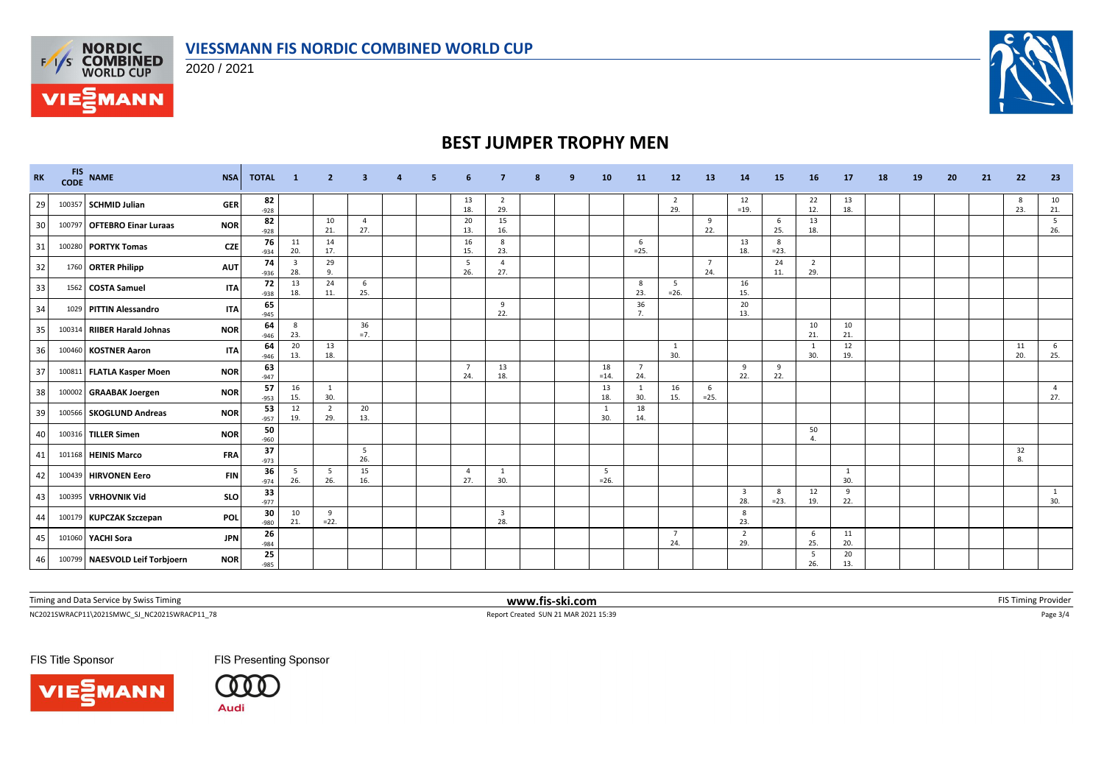

**VIESSMANN FIS NORDIC COMBINED WORLD CUP**



## **BEST JUMPER TROPHY MEN**

| <b>RK</b> | <b>FIS</b><br><b>CODE</b> | <b>NAME</b><br><b>NSA</b>                    |            | <b>TOTAL</b> | $\blacksquare$ 1 | $\mathbf{2}$          | 3                     | $\overline{4}$ | 5. | 6                     |                                | 8 | 9 | 10           | <b>11</b>             | 12                    | <b>13</b>             | 14                             | 15           | 16                    | 17        | 18 | 19 | 20 | 21 | 22        | 23                    |
|-----------|---------------------------|----------------------------------------------|------------|--------------|------------------|-----------------------|-----------------------|----------------|----|-----------------------|--------------------------------|---|---|--------------|-----------------------|-----------------------|-----------------------|--------------------------------|--------------|-----------------------|-----------|----|----|----|----|-----------|-----------------------|
| 29        |                           | <b>GER</b><br>100357 SCHMID Julian           |            | 82<br>$-928$ |                  |                       |                       |                |    | 13<br>18.             | -2<br>29.                      |   |   |              |                       | $\overline{2}$<br>29. |                       | 12<br>$=19.$                   |              | 22<br>12.             | 13<br>18. |    |    |    |    | 8<br>23.  | 10<br>21.             |
| 30        |                           | 100797 OFTEBRO Einar Luraas<br><b>NOR</b>    |            | 82<br>$-928$ |                  | 10<br>21.             | $\overline{4}$<br>27. |                |    | 20<br>13.             | 15<br>16.                      |   |   |              |                       |                       | 9<br>22.              |                                | 6<br>25.     | 13<br>18.             |           |    |    |    |    |           | 5<br>26.              |
| 31        |                           | 100280 PORTYK Tomas                          | <b>CZE</b> | 76<br>$-934$ | 11<br>20.        | 14<br>17.             |                       |                |    | 16<br>15.             | 8<br>23.                       |   |   |              | 6<br>$=25.$           |                       |                       | 13<br>18.                      | 8<br>$= 23.$ |                       |           |    |    |    |    |           |                       |
| 32        |                           | 1760 ORTER Philipp<br><b>AUT</b>             |            | 74<br>$-936$ | 3<br>28.         | 29<br>9.              |                       |                |    | 5<br>26.              | $\overline{a}$<br>27.          |   |   |              |                       |                       | $\overline{7}$<br>24. |                                | 24<br>11.    | $\overline{2}$<br>29. |           |    |    |    |    |           |                       |
| 33        |                           | 1562   COSTA Samuel                          | <b>ITA</b> | 72<br>$-938$ | 13<br>18.        | 24<br>11.             | 6<br>25.              |                |    |                       |                                |   |   |              | 8<br>23.              | 5<br>$=26.$           |                       | 16<br>15.                      |              |                       |           |    |    |    |    |           |                       |
| 34        |                           | 1029 PITTIN Alessandro                       | <b>ITA</b> | 65<br>$-945$ |                  |                       |                       |                |    |                       | 9<br>22.                       |   |   |              | 36<br>7.              |                       |                       | 20<br>13.                      |              |                       |           |    |    |    |    |           |                       |
| 35        |                           | 100314 RIIBER Harald Johnas<br><b>NOR</b>    |            | 64<br>$-946$ | 8<br>23.         |                       | 36<br>$=7.$           |                |    |                       |                                |   |   |              |                       |                       |                       |                                |              | 10<br>21.             | 10<br>21. |    |    |    |    |           |                       |
| 36        |                           | 100460 KOSTNER Aaron                         | <b>ITA</b> | 64<br>$-946$ | 20<br>13.        | 13<br>18.             |                       |                |    |                       |                                |   |   |              |                       | 1<br>30.              |                       |                                |              | 1<br>30.              | 12<br>19. |    |    |    |    | 11<br>20. | 6<br>25.              |
| 37        |                           | 100811 FLATLA Kasper Moen<br><b>NOR</b>      |            | 63<br>$-947$ |                  |                       |                       |                |    | $\overline{7}$<br>24. | 13<br>18.                      |   |   | 18<br>$=14.$ | $\overline{7}$<br>24. |                       |                       | 9<br>22.                       | 9<br>22.     |                       |           |    |    |    |    |           |                       |
| 38        |                           | 100002 GRAABAK Joergen<br><b>NOR</b>         |            | 57<br>$-953$ | 16<br>15.        | 1<br>30.              |                       |                |    |                       |                                |   |   | 13<br>18.    | -1<br>30.             | 16<br>15.             | 6<br>$=25.$           |                                |              |                       |           |    |    |    |    |           | $\overline{4}$<br>27. |
| 39        |                           | 100566 SKOGLUND Andreas<br><b>NOR</b>        |            | 53<br>$-957$ | 12<br>19.        | $\overline{2}$<br>29. | 20<br>13.             |                |    |                       |                                |   |   | 1<br>30.     | 18<br>14.             |                       |                       |                                |              |                       |           |    |    |    |    |           |                       |
| 40        |                           | 100316 TILLER Simen<br><b>NOR</b>            |            | 50<br>$-960$ |                  |                       |                       |                |    |                       |                                |   |   |              |                       |                       |                       |                                |              | 50<br>4.              |           |    |    |    |    |           |                       |
| 41        |                           | <b>FRA</b><br>101168 HEINIS Marco            |            | 37<br>$-973$ |                  |                       | 5<br>26.              |                |    |                       |                                |   |   |              |                       |                       |                       |                                |              |                       |           |    |    |    |    | 32<br>8.  |                       |
| 42        |                           | 100439 HIRVONEN Eero                         | <b>FIN</b> | 36<br>$-974$ | 5<br>26.         | - 5<br>26.            | 15<br>16.             |                |    | $\overline{4}$<br>27. | $\mathbf{1}$<br>30.            |   |   | 5<br>$=26.$  |                       |                       |                       |                                |              |                       | 1<br>30.  |    |    |    |    |           |                       |
| 43        |                           | 100395 VRHOVNIK Vid                          | <b>SLO</b> | 33<br>$-977$ |                  |                       |                       |                |    |                       |                                |   |   |              |                       |                       |                       | $\overline{\mathbf{3}}$<br>28. | 8<br>$= 23.$ | 12<br>19.             | 9<br>22.  |    |    |    |    |           | 1<br>30.              |
| 44        |                           | 100179 KUPCZAK Szczepan<br>POL               |            | 30<br>$-980$ | 10<br>21.        | 9<br>$=22.$           |                       |                |    |                       | $\overline{\mathbf{3}}$<br>28. |   |   |              |                       |                       |                       | 8<br>23.                       |              |                       |           |    |    |    |    |           |                       |
| 45        |                           | 101060 YACHI Sora                            | <b>JPN</b> | 26<br>$-984$ |                  |                       |                       |                |    |                       |                                |   |   |              |                       | $\overline{7}$<br>24. |                       | $\overline{2}$<br>29.          |              | 6<br>25.              | 11<br>20. |    |    |    |    |           |                       |
| 46        |                           | 100799 NAESVOLD Leif Torbjoern<br><b>NOR</b> |            | 25<br>$-985$ |                  |                       |                       |                |    |                       |                                |   |   |              |                       |                       |                       |                                |              | 5<br>26.              | 20<br>13. |    |    |    |    |           |                       |

Timing and Data Service by Swiss Timing **www.fis-ski.com www.fis-ski.com** FIS Timing Provider

**VIE***MANN* 

 $\small \textsf{NC2021SWRACP11}\backslash \textsf{20215NWC\_S}\_ \textsf{NC20215WRACP11}\_ \textsf{78}\_ \textsf{Page 3/4}\_ \textsf{101}$ 

FIS Title Sponsor

**VIE MANN**